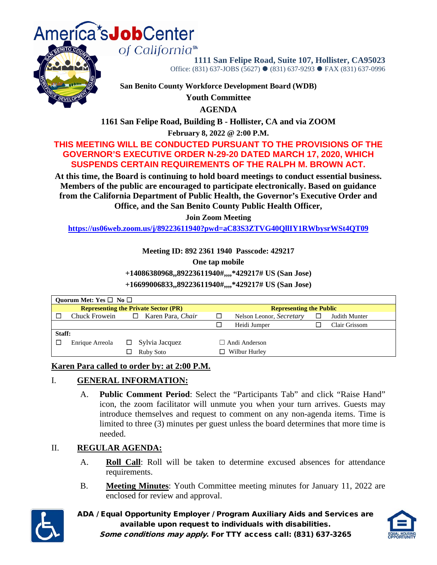

of California<sup>s</sup><sup>™</sup>



**1111 San Felipe Road, Suite 107, Hollister, CA95023** Office: (831) 637-JOBS (5627) ● (831) 637-9293 ● FAX (831) 637-0996

**San Benito County Workforce Development Board (WDB)**

**Youth Committee**

**AGENDA**

**1161 San Felipe Road, Building B - Hollister, CA and via ZOOM**

**February 8, 2022 @ 2:00 P.M.**

## **THIS MEETING WILL BE CONDUCTED PURSUANT TO THE PROVISIONS OF THE GOVERNOR'S EXECUTIVE ORDER N-29-20 DATED MARCH 17, 2020, WHICH SUSPENDS CERTAIN REQUIREMENTS OF THE RALPH M. BROWN ACT.**

**At this time, the Board is continuing to hold board meetings to conduct essential business. Members of the public are encouraged to participate electronically. Based on guidance from the California Department of Public Health, the Governor's Executive Order and Office, and the San Benito County Public Health Officer,**

**Join Zoom Meeting**

**<https://us06web.zoom.us/j/89223611940?pwd=aC83S3ZTVG40QllIY1RWbysrWSt4QT09>**

**Meeting ID: 892 2361 1940 Passcode: 429217**

**One tap mobile**

**+14086380968,,89223611940#,,,,\*429217# US (San Jose)**

**+16699006833,,89223611940#,,,,\*429217# US (San Jose)**

| Quorum Met: Yes $\square$ No $\square$      |                 |  |                             |                      |                                |  |               |  |  |
|---------------------------------------------|-----------------|--|-----------------------------|----------------------|--------------------------------|--|---------------|--|--|
| <b>Representing the Private Sector (PR)</b> |                 |  |                             |                      | <b>Representing the Public</b> |  |               |  |  |
|                                             | Chuck Frowein   |  | Karen Para, Chair<br>$\Box$ |                      | Nelson Leonor, Secretary       |  | Judith Munter |  |  |
|                                             |                 |  |                             |                      | Heidi Jumper                   |  | Clair Grissom |  |  |
| Staff:                                      |                 |  |                             |                      |                                |  |               |  |  |
|                                             | Enrique Arreola |  | $\Box$ Sylvia Jacquez       | $\Box$ Andi Anderson |                                |  |               |  |  |
|                                             |                 |  | Ruby Soto                   | Wilbur Hurley        |                                |  |               |  |  |

## **Karen Para called to order by: at 2:00 P.M.**

## I. **GENERAL INFORMATION:**

A. **Public Comment Period**: Select the "Participants Tab" and click "Raise Hand" icon, the zoom facilitator will unmute you when your turn arrives. Guests may introduce themselves and request to comment on any non-agenda items. Time is limited to three (3) minutes per guest unless the board determines that more time is needed.

## II. **REGULAR AGENDA:**

- A. **Roll Call**: Roll will be taken to determine excused absences for attendance requirements.
- B. **Meeting Minutes**: Youth Committee meeting minutes for January 11, 2022 are enclosed for review and approval.



ADA / Equal Opportunity Employer / Program Auxiliary Aids and Services are available upon request to individuals with disabilities.



Some conditions may apply. For TTY access call: (831) 637-3265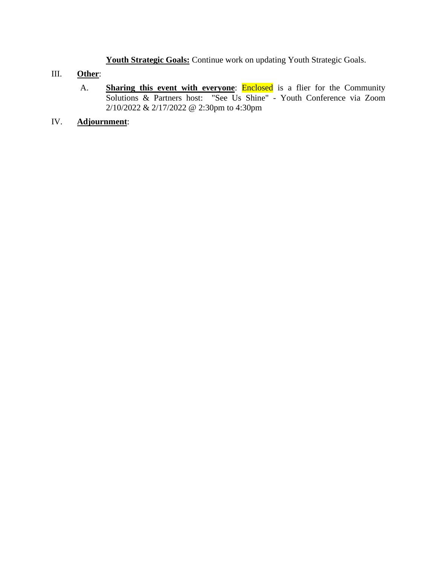**Youth Strategic Goals:** Continue work on updating Youth Strategic Goals.

## III. **Other**:

A. **Sharing this event with everyone: Enclosed** is a flier for the Community Solutions & Partners host: "See Us Shine" - Youth Conference via Zoom 2/10/2022 & 2/17/2022 @ 2:30pm to 4:30pm

## IV. **Adjournment**: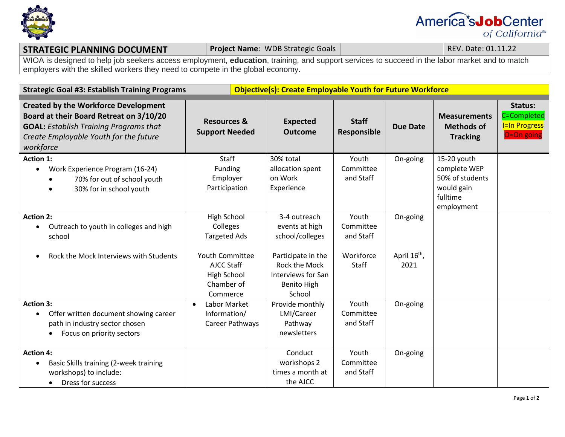

# America<sup>\*</sup>s**Job**Center of California<sup>s</sup>

## **STRATEGIC PLANNING DOCUMENT Project Name**: WDB Strategic Goals **REV. Date: 01.11.22**

WIOA is designed to help job seekers access employment, **education**, training, and support services to succeed in the labor market and to match employers with the skilled workers they need to compete in the global economy.

| <b>Strategic Goal #3: Establish Training Programs</b>                                                                                                                                          |                                                                                                              | <b>Objective(s): Create Employable Youth for Future Workforce</b>                                                     |                                                              |                                              |                                                                                        |                                                              |  |
|------------------------------------------------------------------------------------------------------------------------------------------------------------------------------------------------|--------------------------------------------------------------------------------------------------------------|-----------------------------------------------------------------------------------------------------------------------|--------------------------------------------------------------|----------------------------------------------|----------------------------------------------------------------------------------------|--------------------------------------------------------------|--|
| <b>Created by the Workforce Development</b><br>Board at their Board Retreat on 3/10/20<br><b>GOAL: Establish Training Programs that</b><br>Create Employable Youth for the future<br>workforce | <b>Resources &amp;</b><br><b>Support Needed</b>                                                              | <b>Expected</b><br><b>Outcome</b>                                                                                     | <b>Staff</b><br>Responsible                                  | <b>Due Date</b>                              | <b>Measurements</b><br><b>Methods of</b><br><b>Tracking</b>                            | Status:<br>C=Completed<br><b>I=In Progress</b><br>O=On going |  |
| <b>Action 1:</b><br>Work Experience Program (16-24)<br>$\bullet$<br>70% for out of school youth<br>30% for in school youth                                                                     | <b>Staff</b><br>Funding<br>Employer<br>Participation                                                         | 30% total<br>allocation spent<br>on Work<br>Experience                                                                | Youth<br>Committee<br>and Staff                              | On-going                                     | 15-20 youth<br>complete WEP<br>50% of students<br>would gain<br>fulltime<br>employment |                                                              |  |
| <b>Action 2:</b><br>Outreach to youth in colleges and high<br>٠<br>school<br>Rock the Mock Interviews with Students<br>$\bullet$                                                               | High School<br>Colleges<br><b>Targeted Ads</b><br><b>Youth Committee</b><br><b>AJCC Staff</b><br>High School | 3-4 outreach<br>events at high<br>school/colleges<br>Participate in the<br><b>Rock the Mock</b><br>Interviews for San | Youth<br>Committee<br>and Staff<br>Workforce<br><b>Staff</b> | On-going<br>April 16 <sup>th</sup> ,<br>2021 |                                                                                        |                                                              |  |
| <b>Action 3:</b><br>Offer written document showing career<br>$\bullet$<br>path in industry sector chosen<br>Focus on priority sectors                                                          | Chamber of<br>Commerce<br>Labor Market<br>$\bullet$<br>Information/<br>Career Pathways                       | <b>Benito High</b><br>School<br>Provide monthly<br>LMI/Career<br>Pathway<br>newsletters                               | Youth<br>Committee<br>and Staff                              | On-going                                     |                                                                                        |                                                              |  |
| <b>Action 4:</b><br>Basic Skills training (2-week training<br>$\bullet$<br>workshops) to include:<br>Dress for success<br>$\bullet$                                                            |                                                                                                              | Conduct<br>workshops 2<br>times a month at<br>the AJCC                                                                | Youth<br>Committee<br>and Staff                              | On-going                                     |                                                                                        |                                                              |  |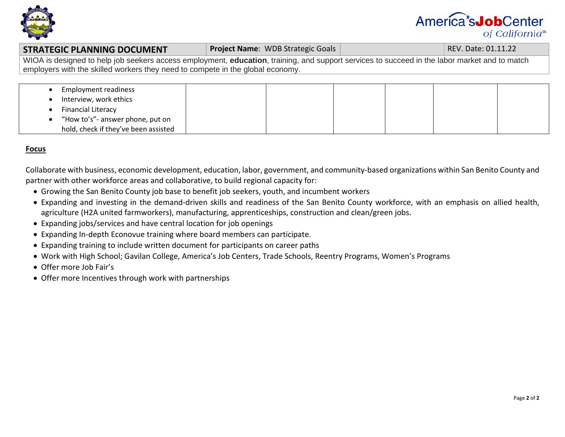

# America<sup>\*</sup>s**Job**Center of California<sup>s</sup>

#### **STRATEGIC PLANNING DOCUMENT Project Name**: WDB Strategic Goals **REV. Date: 01.11.22** REV. Date: 01.11.22

WIOA is designed to help job seekers access employment, **education**, training, and support services to succeed in the labor market and to match employers with the skilled workers they need to compete in the global economy.

| <b>Employment readiness</b>          |  |  |  |
|--------------------------------------|--|--|--|
| Interview, work ethics               |  |  |  |
| <b>Financial Literacy</b>            |  |  |  |
| "How to's"- answer phone, put on     |  |  |  |
| hold, check if they've been assisted |  |  |  |

### **Focus**

Collaborate with business, economic development, education, labor, government, and community-based organizations within San Benito County and partner with other workforce areas and collaborative, to build regional capacity for:

- Growing the San Benito County job base to benefit job seekers, youth, and incumbent workers
- Expanding and investing in the demand-driven skills and readiness of the San Benito County workforce, with an emphasis on allied health, agriculture (H2A united farmworkers), manufacturing, apprenticeships, construction and clean/green jobs.
- Expanding jobs/services and have central location for job openings
- Expanding In-depth Econovue training where board members can participate.
- Expanding training to include written document for participants on career paths
- Work with High School; Gavilan College, America's Job Centers, Trade Schools, Reentry Programs, Women's Programs
- Offer more Job Fair's
- Offer more Incentives through work with partnerships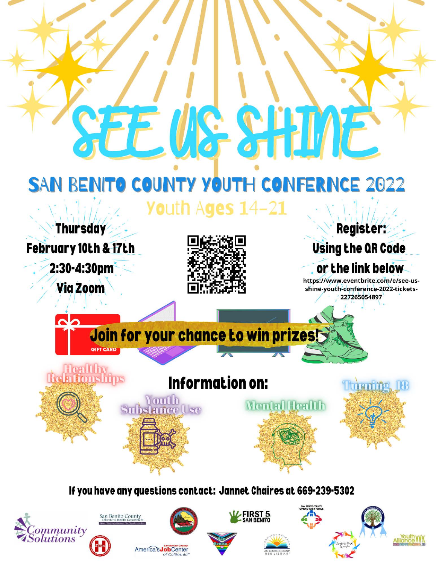

**FIRST 5**<br>SAN BENITO San Benito County ommunity **Allignce** *<u>olutions</u>* America's JobCenter of California